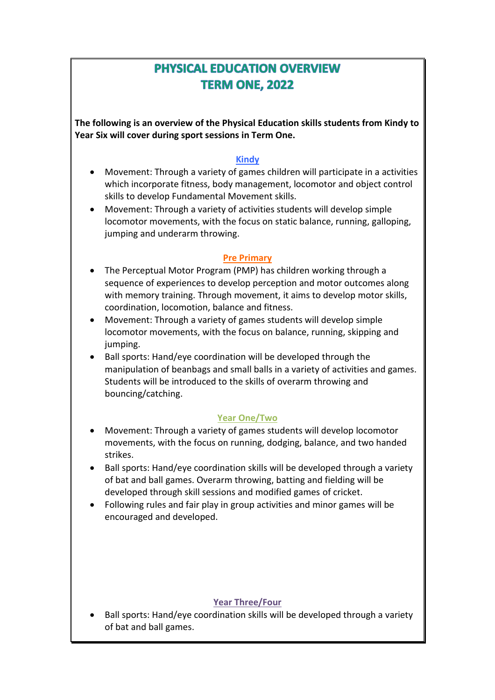# **PHYSICAL EDUCATION OVERVIEW TERM ONE, 2022**

**The following is an overview of the Physical Education skills students from Kindy to Year Six will cover during sport sessions in Term One.**

# **Kindy**

- Movement: Through a variety of games children will participate in a activities which incorporate fitness, body management, locomotor and object control skills to develop Fundamental Movement skills.
- Movement: Through a variety of activities students will develop simple locomotor movements, with the focus on static balance, running, galloping, jumping and underarm throwing.

#### **Pre Primary**

- The Perceptual Motor Program (PMP) has children working through a sequence of experiences to develop perception and motor outcomes along with memory training. Through movement, it aims to develop motor skills, coordination, locomotion, balance and fitness.
- Movement: Through a variety of games students will develop simple locomotor movements, with the focus on balance, running, skipping and jumping.
- Ball sports: Hand/eye coordination will be developed through the manipulation of beanbags and small balls in a variety of activities and games. Students will be introduced to the skills of overarm throwing and bouncing/catching.

### **Year One/Two**

- Movement: Through a variety of games students will develop locomotor movements, with the focus on running, dodging, balance, and two handed strikes.
- Ball sports: Hand/eye coordination skills will be developed through a variety of bat and ball games. Overarm throwing, batting and fielding will be developed through skill sessions and modified games of cricket.
- Following rules and fair play in group activities and minor games will be encouraged and developed.

### **Year Three/Four**

• Ball sports: Hand/eye coordination skills will be developed through a variety of bat and ball games.